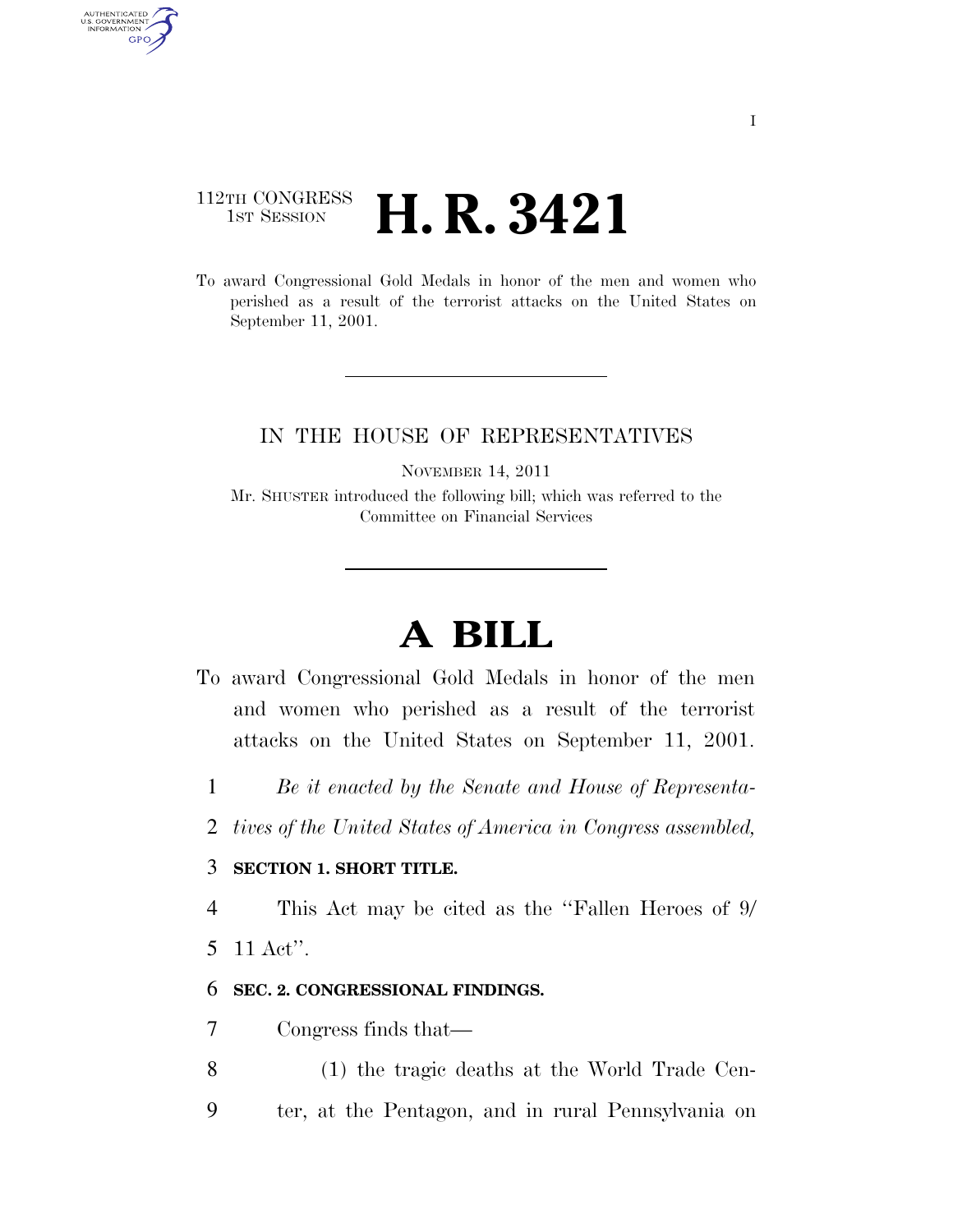## 112TH CONGRESS <sup>TH CONGRESS</sup> **H. R. 3421**

To award Congressional Gold Medals in honor of the men and women who perished as a result of the terrorist attacks on the United States on September 11, 2001.

### IN THE HOUSE OF REPRESENTATIVES

NOVEMBER 14, 2011

Mr. SHUSTER introduced the following bill; which was referred to the Committee on Financial Services

# **A BILL**

- To award Congressional Gold Medals in honor of the men and women who perished as a result of the terrorist attacks on the United States on September 11, 2001.
	- 1 *Be it enacted by the Senate and House of Representa-*
	- 2 *tives of the United States of America in Congress assembled,*

#### 3 **SECTION 1. SHORT TITLE.**

4 This Act may be cited as the ''Fallen Heroes of 9/

5 11 Act''.

AUTHENTICATED<br>U.S. GOVERNMENT<br>INFORMATION GPO

#### 6 **SEC. 2. CONGRESSIONAL FINDINGS.**

- 7 Congress finds that—
- 8 (1) the tragic deaths at the World Trade Cen-
- 9 ter, at the Pentagon, and in rural Pennsylvania on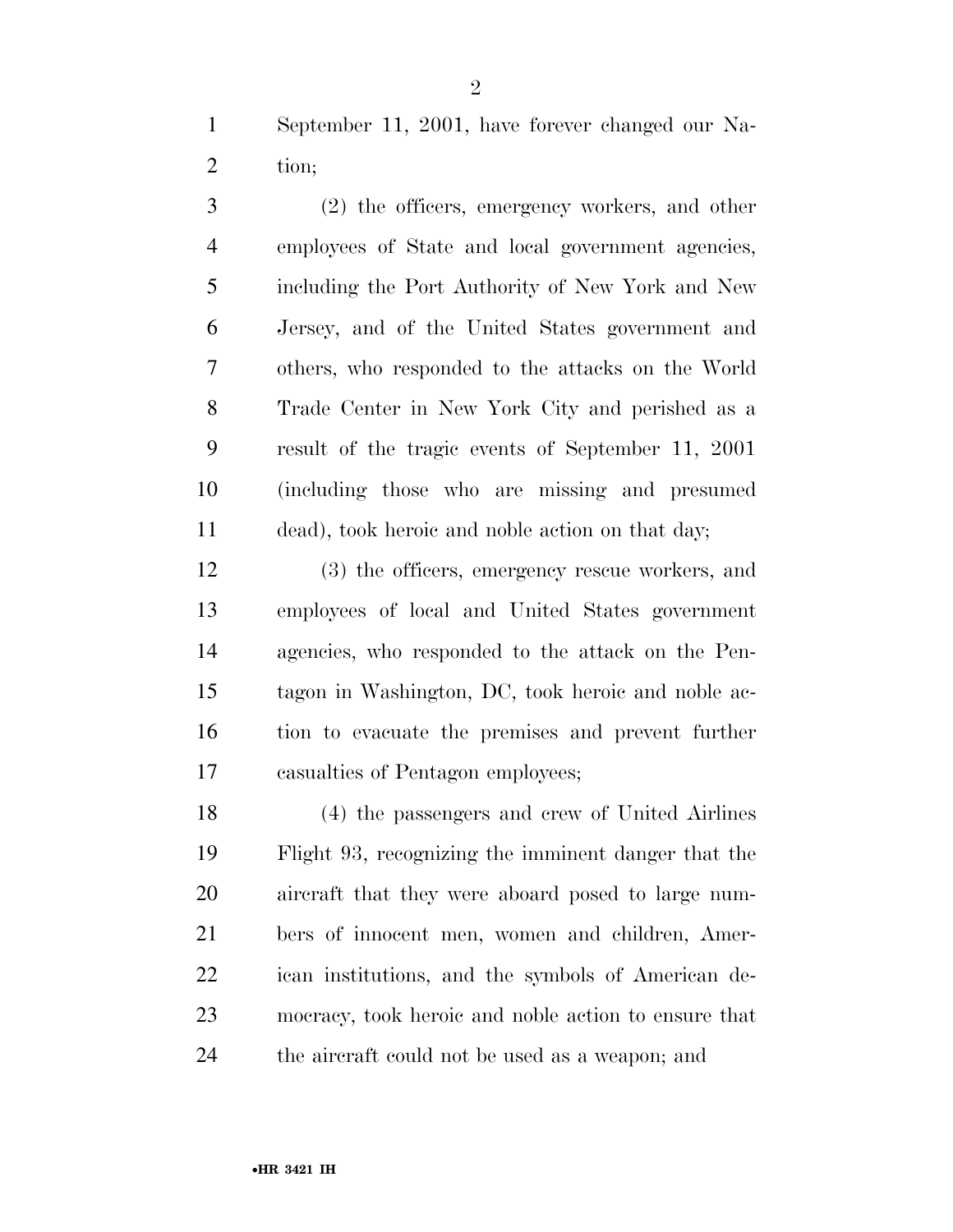September 11, 2001, have forever changed our Na-tion;

 (2) the officers, emergency workers, and other employees of State and local government agencies, including the Port Authority of New York and New Jersey, and of the United States government and others, who responded to the attacks on the World Trade Center in New York City and perished as a result of the tragic events of September 11, 2001 (including those who are missing and presumed dead), took heroic and noble action on that day;

 (3) the officers, emergency rescue workers, and employees of local and United States government agencies, who responded to the attack on the Pen- tagon in Washington, DC, took heroic and noble ac- tion to evacuate the premises and prevent further casualties of Pentagon employees;

 (4) the passengers and crew of United Airlines Flight 93, recognizing the imminent danger that the aircraft that they were aboard posed to large num- bers of innocent men, women and children, Amer- ican institutions, and the symbols of American de- mocracy, took heroic and noble action to ensure that the aircraft could not be used as a weapon; and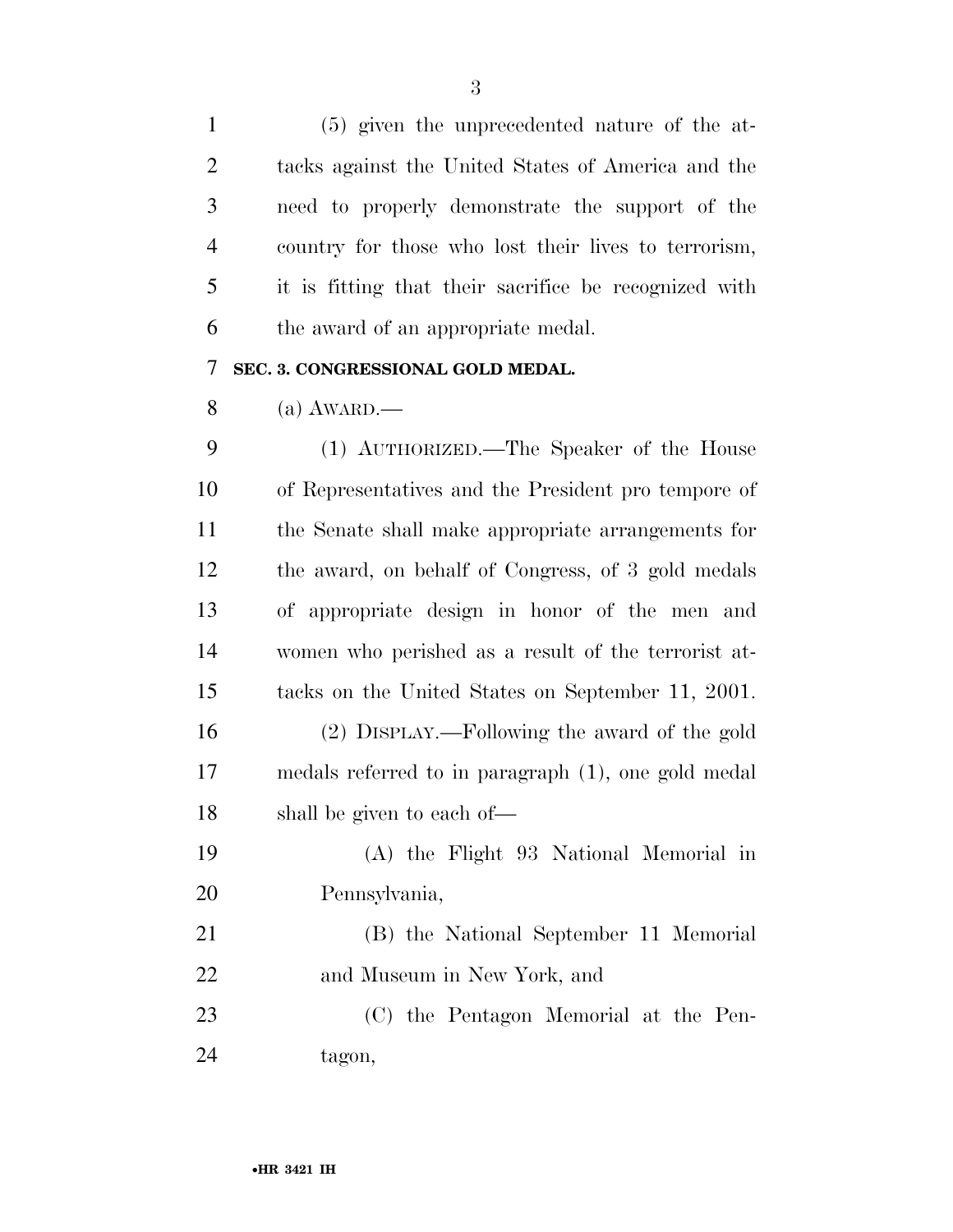(5) given the unprecedented nature of the at- tacks against the United States of America and the need to properly demonstrate the support of the country for those who lost their lives to terrorism, it is fitting that their sacrifice be recognized with the award of an appropriate medal.

#### **SEC. 3. CONGRESSIONAL GOLD MEDAL.**

(a) AWARD.—

 (1) AUTHORIZED.—The Speaker of the House of Representatives and the President pro tempore of the Senate shall make appropriate arrangements for the award, on behalf of Congress, of 3 gold medals of appropriate design in honor of the men and women who perished as a result of the terrorist at- tacks on the United States on September 11, 2001. (2) DISPLAY.—Following the award of the gold medals referred to in paragraph (1), one gold medal shall be given to each of— (A) the Flight 93 National Memorial in Pennsylvania, (B) the National September 11 Memorial and Museum in New York, and

 (C) the Pentagon Memorial at the Pen-tagon,